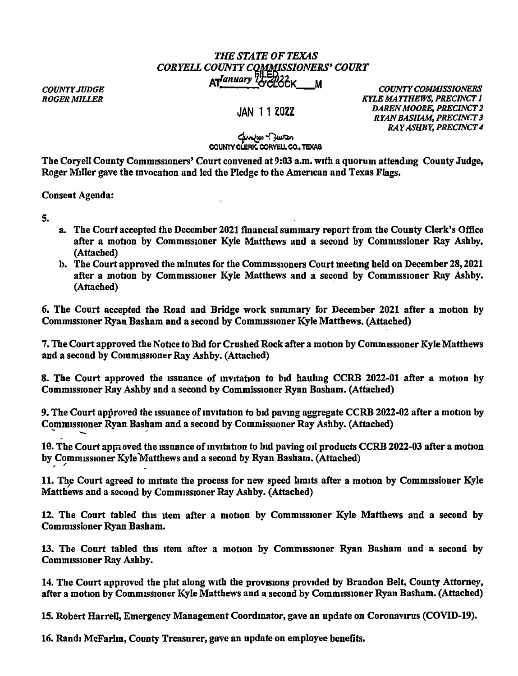## *THE STATE OF TEXAS CORYELL COUNTY CQ,(rlN!\_SSIONERS' COURT COUNTY JUDGE*<br> *ROGER MILLER*<br> *ROGER MILLER*

*COUNTY JUDGE* 

JAN 11 ZOZZ

*COUNTY COMMISSIONERS KYLE MATTHEWS, PRECINCT I DAREN MOORE, PRECINCT* 2 *RYAN BASHAM, PRECINCT 3 RAY ASHBY, PRECINCT 4* 

## مسمود (محمد)<br>**COUNTY CLERK, CORYELL CO., TEXAS**

The Coryell County Commissioners' Court convened at 9:03 a.m. with a quorum attending County Judge, Roger Miller gave the invocation and led the Pledge to the American and Texas Flags.

Consent Agenda:

5.

- a. The Court accepted the December 2021 financial summary report from the County Clerk's Office after a motion by Commissioner Kyle Matthews and a second by Commissioner Ray Ashby. (Attached)
- b. The Court approved the minutes for the Commissioners Court meeting held on December 28, 2021 after a motion by Commissioner Kyle Matthews and a second by Commissioner Ray Ashby. (Attached)

6. The Court accepted the Road and Bridge work summary for December 2021 after a motion by Comm1ss1oner Ryan Basham and a second by Comm1Ss10ner Kyle Matthews. (Attached)

7. The Court approved the Notice to Bid for Crushed Rock after a motion by Commissioner Kyle Matthews and a second by Commissioner Ray Ashby. (Attached)

8. The Court approved the issuance of invitation to bid hauling CCRB 2022-01 after a motion by Comm1ss10ner Ray Ashby and a second by Commissioner Ryan Basham. (Attached)

9. The Court approved the issuance of invitation to bid paving aggregate CCRB 2022-02 after a motion by Commissioner Ryan Basham and a second by Commissioner Ray Ashby. (Attached) The Court approved the<br>
pmmissioner Ryan Bash<br>
The Court approved the

10. The Court appi oved the issuance of invitation to bid paving oil products CCRB 2022-03 after a motion by Commissioner Kyle Matthews and a second by Ryan Basham. (Attached)

11. The Court agreed to initiate the process for new speed limits after a motion by Commissioner Kyle Matthews and a second by Commissioner Ray Ashby. (Attached)

12. The Court tabled this item after a motion by Commissioner Kyle Matthews and a second by Commissioner Ryan Basham.

13. The Court tabled this item after a motion by Commissioner Ryan Basham and a second by Commissioner Ray Ashby.

14. The Court approved the plat along with the provisions provided by Brandon Belt, County Attorney, after a motion by Commissioner Kyle Matthews and a second by Commissioner Ryan Basham. (Attached)

15. Robert Harrell, Emergency Management Coordinator, gave an update on Coronavirus (COVID-19).

16. Randi McFarhn, County Treasurer, gave an update on employee benefits.